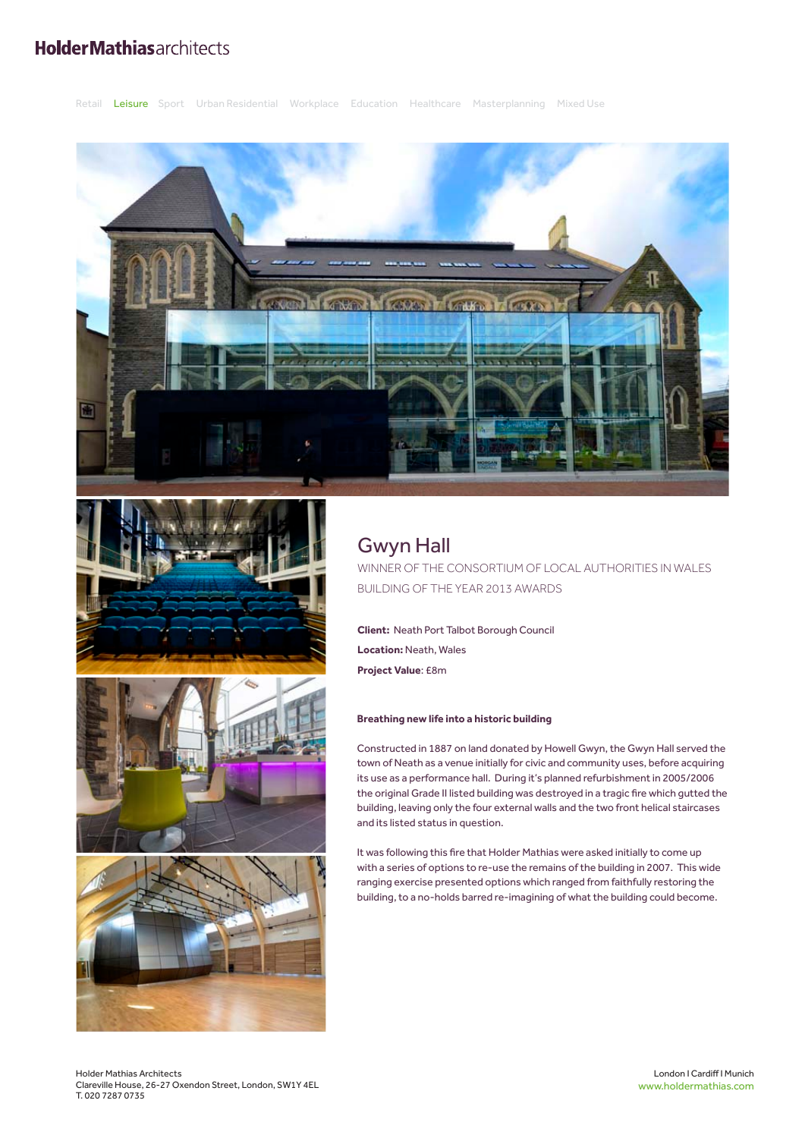## **HolderMathiasarchitects**

Retail Leisure Sport Urban Residential Workplace Education Healthcare Masterplanning Mixed Use







# Gwyn Hall

WINNER OF THE CONSORTIUM OF LOCAL AUTHORITIES IN WALES BUILDING OF THE YEAR 2013 AWARDS

**Client:** Neath Port Talbot Borough Council **Location:** Neath, Wales **Project Value**: £8m

### **Breathing new life into a historic building**

Constructed in 1887 on land donated by Howell Gwyn, the Gwyn Hall served the town of Neath as a venue initially for civic and community uses, before acquiring its use as a performance hall. During it's planned refurbishment in 2005/2006 the original Grade II listed building was destroyed in a tragic fire which gutted the building, leaving only the four external walls and the two front helical staircases and its listed status in question.

It was following this fire that Holder Mathias were asked initially to come up with a series of options to re-use the remains of the building in 2007. This wide ranging exercise presented options which ranged from faithfully restoring the building, to a no-holds barred re-imagining of what the building could become.